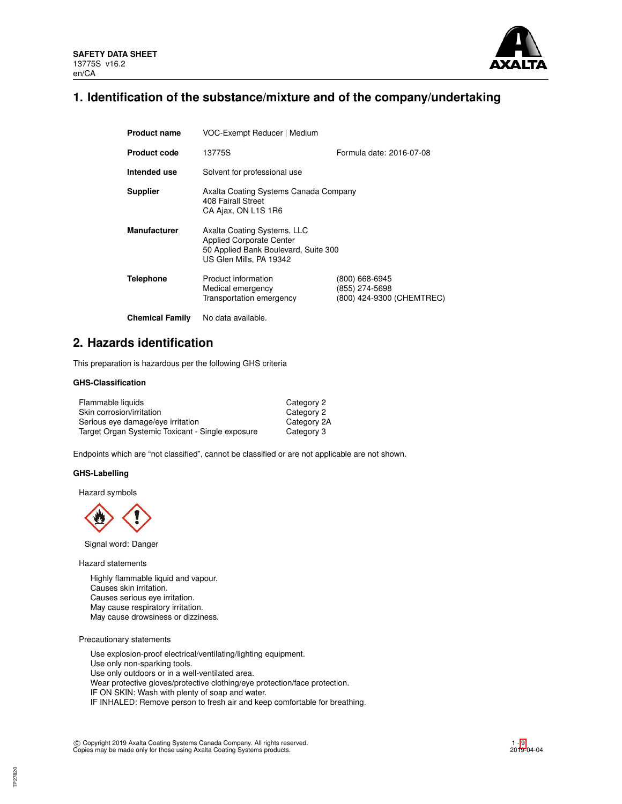

## **1. Identification of the substance/mixture and of the company/undertaking**

| <b>Product name</b>    | VOC-Exempt Reducer   Medium                                                                                                       |                                                               |  |  |  |
|------------------------|-----------------------------------------------------------------------------------------------------------------------------------|---------------------------------------------------------------|--|--|--|
| <b>Product code</b>    | Formula date: 2016-07-08<br>13775S                                                                                                |                                                               |  |  |  |
| Intended use           | Solvent for professional use                                                                                                      |                                                               |  |  |  |
| <b>Supplier</b>        | Axalta Coating Systems Canada Company<br>408 Fairall Street<br>CA Ajax, ON L1S 1R6                                                |                                                               |  |  |  |
| <b>Manufacturer</b>    | Axalta Coating Systems, LLC<br><b>Applied Corporate Center</b><br>50 Applied Bank Boulevard, Suite 300<br>US Glen Mills, PA 19342 |                                                               |  |  |  |
| <b>Telephone</b>       | Product information<br>Medical emergency<br>Transportation emergency                                                              | (800) 668-6945<br>(855) 274-5698<br>(800) 424-9300 (CHEMTREC) |  |  |  |
| <b>Chemical Family</b> | No data available.                                                                                                                |                                                               |  |  |  |

## **2. Hazards identification**

This preparation is hazardous per the following GHS criteria

### **GHS-Classification**

| Flammable liquids                                | Category 2  |
|--------------------------------------------------|-------------|
| Skin corrosion/irritation                        | Category 2  |
| Serious eye damage/eye irritation                | Category 2A |
| Target Organ Systemic Toxicant - Single exposure | Category 3  |

Endpoints which are "not classified", cannot be classified or are not applicable are not shown.

### **GHS-Labelling**

Hazard symbols



Signal word: Danger

Hazard statements

Highly flammable liquid and vapour. Causes skin irritation. Causes serious eye irritation. May cause respiratory irritation. May cause drowsiness or dizziness.

Precautionary statements

Use explosion-proof electrical/ventilating/lighting equipment. Use only non-sparking tools. Use only outdoors or in a well-ventilated area. Wear protective gloves/protective clothing/eye protection/face protection. IF ON SKIN: Wash with plenty of soap and water. IF INHALED: Remove person to fresh air and keep comfortable for breathing.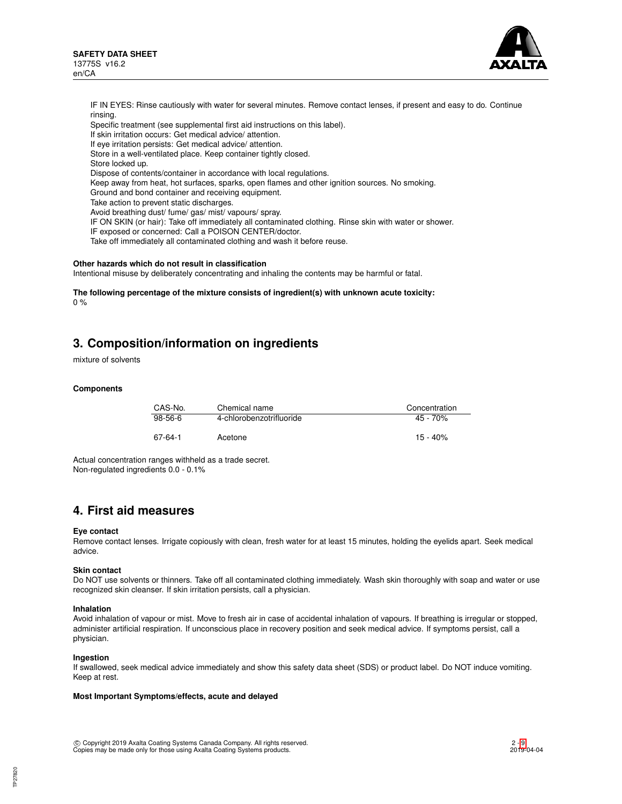

IF IN EYES: Rinse cautiously with water for several minutes. Remove contact lenses, if present and easy to do. Continue rinsing. Specific treatment (see supplemental first aid instructions on this label). If skin irritation occurs: Get medical advice/ attention. If eye irritation persists: Get medical advice/ attention. Store in a well-ventilated place. Keep container tightly closed. Store locked up. Dispose of contents/container in accordance with local regulations. Keep away from heat, hot surfaces, sparks, open flames and other ignition sources. No smoking. Ground and bond container and receiving equipment. Take action to prevent static discharges. Avoid breathing dust/ fume/ gas/ mist/ vapours/ spray. IF ON SKIN (or hair): Take off immediately all contaminated clothing. Rinse skin with water or shower. IF exposed or concerned: Call a POISON CENTER/doctor. Take off immediately all contaminated clothing and wash it before reuse.

#### **Other hazards which do not result in classification**

Intentional misuse by deliberately concentrating and inhaling the contents may be harmful or fatal.

**The following percentage of the mixture consists of ingredient(s) with unknown acute toxicity:** 0 %

## **3. Composition/information on ingredients**

mixture of solvents

#### **Components**

| CAS-No.   | Chemical name            | Concentration |
|-----------|--------------------------|---------------|
| $98-56-6$ | 4-chlorobenzotrifluoride | $45 - 70%$    |
| 67-64-1   | Acetone                  | $15 - 40%$    |

Actual concentration ranges withheld as a trade secret. Non-regulated ingredients 0.0 - 0.1%

## **4. First aid measures**

#### **Eye contact**

Remove contact lenses. Irrigate copiously with clean, fresh water for at least 15 minutes, holding the eyelids apart. Seek medical advice.

#### **Skin contact**

Do NOT use solvents or thinners. Take off all contaminated clothing immediately. Wash skin thoroughly with soap and water or use recognized skin cleanser. If skin irritation persists, call a physician.

### **Inhalation**

Avoid inhalation of vapour or mist. Move to fresh air in case of accidental inhalation of vapours. If breathing is irregular or stopped, administer artificial respiration. If unconscious place in recovery position and seek medical advice. If symptoms persist, call a physician.

#### **Ingestion**

If swallowed, seek medical advice immediately and show this safety data sheet (SDS) or product label. Do NOT induce vomiting. Keep at rest.

## **Most Important Symptoms/effects, acute and delayed**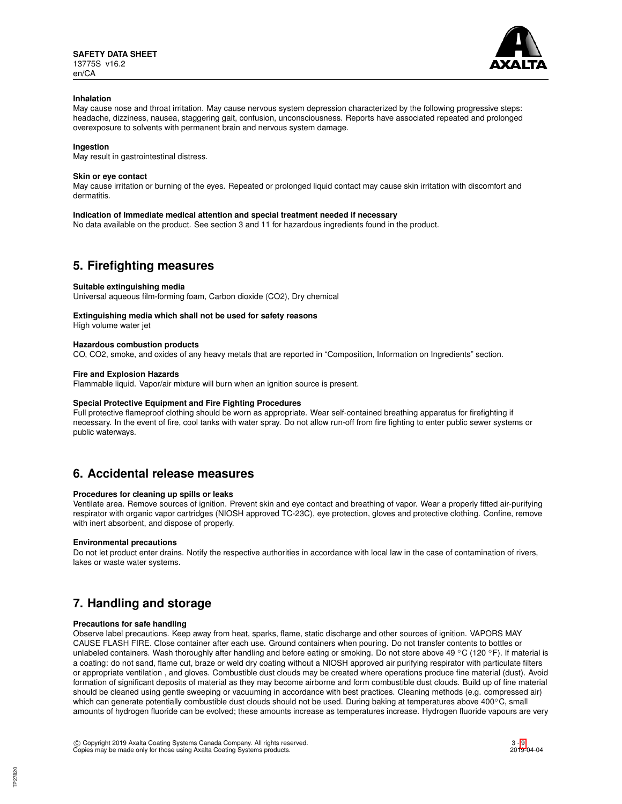

### **Inhalation**

May cause nose and throat irritation. May cause nervous system depression characterized by the following progressive steps: headache, dizziness, nausea, staggering gait, confusion, unconsciousness. Reports have associated repeated and prolonged overexposure to solvents with permanent brain and nervous system damage.

### **Ingestion**

May result in gastrointestinal distress.

### **Skin or eye contact**

May cause irritation or burning of the eyes. Repeated or prolonged liquid contact may cause skin irritation with discomfort and dermatitis.

### **Indication of Immediate medical attention and special treatment needed if necessary**

No data available on the product. See section 3 and 11 for hazardous ingredients found in the product.

## **5. Firefighting measures**

#### **Suitable extinguishing media**

Universal aqueous film-forming foam, Carbon dioxide (CO2), Dry chemical

### **Extinguishing media which shall not be used for safety reasons**

High volume water jet

### **Hazardous combustion products**

CO, CO2, smoke, and oxides of any heavy metals that are reported in "Composition, Information on Ingredients" section.

### **Fire and Explosion Hazards**

Flammable liquid. Vapor/air mixture will burn when an ignition source is present.

## **Special Protective Equipment and Fire Fighting Procedures**

Full protective flameproof clothing should be worn as appropriate. Wear self-contained breathing apparatus for firefighting if necessary. In the event of fire, cool tanks with water spray. Do not allow run-off from fire fighting to enter public sewer systems or public waterways.

## **6. Accidental release measures**

#### **Procedures for cleaning up spills or leaks**

Ventilate area. Remove sources of ignition. Prevent skin and eye contact and breathing of vapor. Wear a properly fitted air-purifying respirator with organic vapor cartridges (NIOSH approved TC-23C), eye protection, gloves and protective clothing. Confine, remove with inert absorbent, and dispose of properly.

#### **Environmental precautions**

Do not let product enter drains. Notify the respective authorities in accordance with local law in the case of contamination of rivers, lakes or waste water systems.

## **7. Handling and storage**

## **Precautions for safe handling**

Observe label precautions. Keep away from heat, sparks, flame, static discharge and other sources of ignition. VAPORS MAY CAUSE FLASH FIRE. Close container after each use. Ground containers when pouring. Do not transfer contents to bottles or unlabeled containers. Wash thoroughly after handling and before eating or smoking. Do not store above 49 °C (120 °F). If material is a coating: do not sand, flame cut, braze or weld dry coating without a NIOSH approved air purifying respirator with particulate filters or appropriate ventilation , and gloves. Combustible dust clouds may be created where operations produce fine material (dust). Avoid formation of significant deposits of material as they may become airborne and form combustible dust clouds. Build up of fine material should be cleaned using gentle sweeping or vacuuming in accordance with best practices. Cleaning methods (e.g. compressed air) which can generate potentially combustible dust clouds should not be used. During baking at temperatures above 400℃, small amounts of hydrogen fluoride can be evolved; these amounts increase as temperatures increase. Hydrogen fluoride vapours are very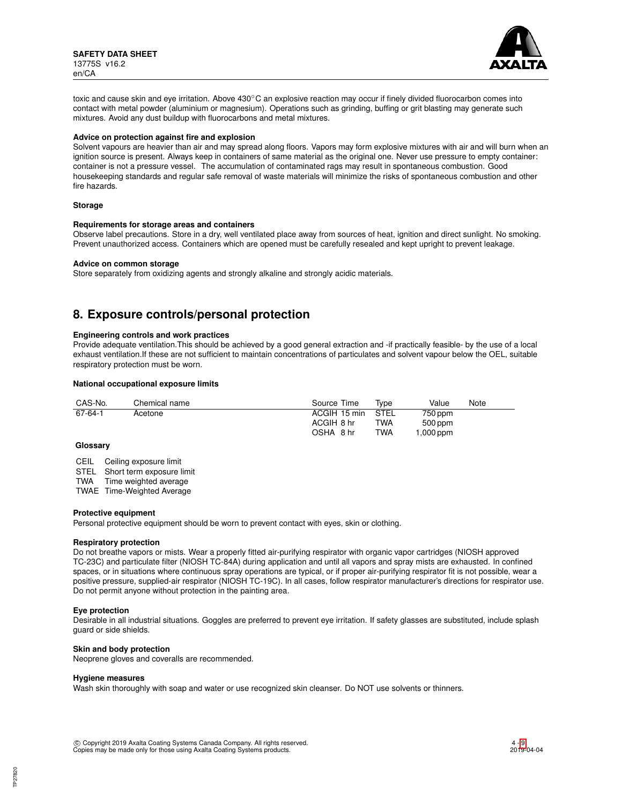**SAFETY DATA SHEET** 13775S v16.2 en/CA



toxic and cause skin and eye irritation. Above 430℃ an explosive reaction may occur if finely divided fluorocarbon comes into contact with metal powder (aluminium or magnesium). Operations such as grinding, buffing or grit blasting may generate such mixtures. Avoid any dust buildup with fluorocarbons and metal mixtures.

#### **Advice on protection against fire and explosion**

Solvent vapours are heavier than air and may spread along floors. Vapors may form explosive mixtures with air and will burn when an ignition source is present. Always keep in containers of same material as the original one. Never use pressure to empty container: container is not a pressure vessel. The accumulation of contaminated rags may result in spontaneous combustion. Good housekeeping standards and regular safe removal of waste materials will minimize the risks of spontaneous combustion and other fire hazards.

#### **Storage**

#### **Requirements for storage areas and containers**

Observe label precautions. Store in a dry, well ventilated place away from sources of heat, ignition and direct sunlight. No smoking. Prevent unauthorized access. Containers which are opened must be carefully resealed and kept upright to prevent leakage.

#### **Advice on common storage**

Store separately from oxidizing agents and strongly alkaline and strongly acidic materials.

## **8. Exposure controls/personal protection**

### **Engineering controls and work practices**

Provide adequate ventilation.This should be achieved by a good general extraction and -if practically feasible- by the use of a local exhaust ventilation.If these are not sufficient to maintain concentrations of particulates and solvent vapour below the OEL, suitable respiratory protection must be worn.

### **National occupational exposure limits**

| CAS-No. | Chemical name | Source Time       | Tvpe | Value      | Note |
|---------|---------------|-------------------|------|------------|------|
| 67-64-1 | Acetone       | ACGIH 15 min STEL |      | 750 ppm    |      |
|         |               | ACGIH 8 hr        | TWA  | 500 ppm    |      |
|         |               | OSHA 8 hr         | TWA  | mgg 000, 1 |      |

## **Glossary**

CEIL Ceiling exposure limit

STEL Short term exposure limit

TWA Time weighted average

TWAE Time-Weighted Average

#### **Protective equipment**

Personal protective equipment should be worn to prevent contact with eyes, skin or clothing.

## **Respiratory protection**

Do not breathe vapors or mists. Wear a properly fitted air-purifying respirator with organic vapor cartridges (NIOSH approved TC-23C) and particulate filter (NIOSH TC-84A) during application and until all vapors and spray mists are exhausted. In confined spaces, or in situations where continuous spray operations are typical, or if proper air-purifying respirator fit is not possible, wear a positive pressure, supplied-air respirator (NIOSH TC-19C). In all cases, follow respirator manufacturer's directions for respirator use. Do not permit anyone without protection in the painting area.

#### **Eye protection**

Desirable in all industrial situations. Goggles are preferred to prevent eye irritation. If safety glasses are substituted, include splash guard or side shields.

### **Skin and body protection**

Neoprene gloves and coveralls are recommended.

#### **Hygiene measures**

Wash skin thoroughly with soap and water or use recognized skin cleanser. Do NOT use solvents or thinners.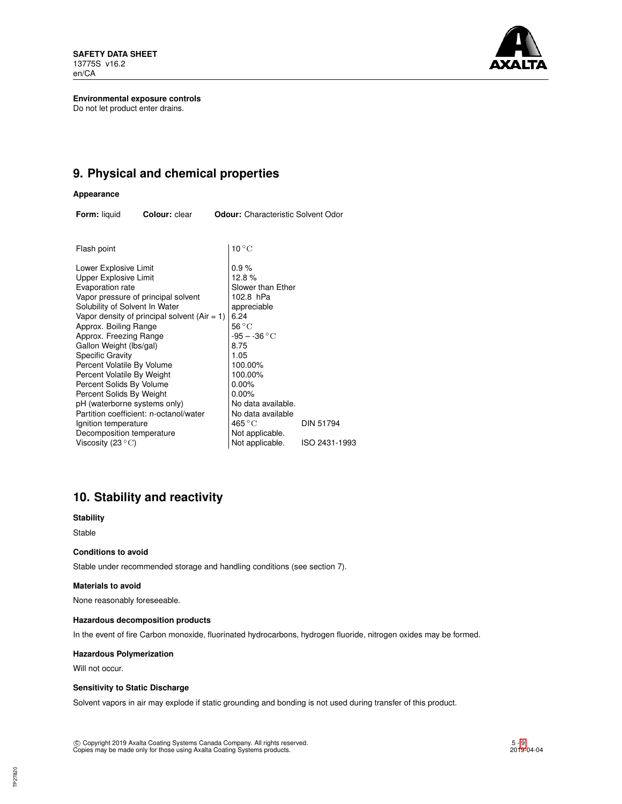**SAFETY DATA SHEET** 13775S v16.2 en/CA



**Environmental exposure controls** Do not let product enter drains.

## **9. Physical and chemical properties**

### **Appearance**

**Form:** liquid **Colour:** clear **Odour:** Characteristic Solvent Odor

| Flash point                                  | $10^{\circ}$ C      |                  |
|----------------------------------------------|---------------------|------------------|
| Lower Explosive Limit                        | 0.9%                |                  |
| Upper Explosive Limit                        | 12.8%               |                  |
| Evaporation rate                             | Slower than Ether   |                  |
| Vapor pressure of principal solvent          | 102.8 hPa           |                  |
| Solubility of Solvent In Water               | appreciable         |                  |
| Vapor density of principal solvent (Air = 1) | 6.24                |                  |
| Approx. Boiling Range                        | $56^{\circ}$ C      |                  |
| Approx. Freezing Range                       | $-95 - -36 °C$      |                  |
| Gallon Weight (lbs/gal)                      | 8.75                |                  |
| Specific Gravity                             | 1.05                |                  |
| Percent Volatile By Volume                   | 100.00%             |                  |
| Percent Volatile By Weight                   | 100.00%             |                  |
| Percent Solids By Volume                     | 0.00%               |                  |
| Percent Solids By Weight                     | $0.00\%$            |                  |
| pH (waterborne systems only)                 | No data available.  |                  |
| Partition coefficient: n-octanol/water       | No data available   |                  |
| Ignition temperature                         | 465 $\rm ^{\circ}C$ | <b>DIN 51794</b> |
| Decomposition temperature                    | Not applicable.     |                  |
| Viscosity (23 $^{\circ}{\rm C}$ )            | Not applicable.     | ISO 2431-1993    |
|                                              |                     |                  |

## **10. Stability and reactivity**

**Stability**

Stable

## **Conditions to avoid**

Stable under recommended storage and handling conditions (see section 7).

## **Materials to avoid**

None reasonably foreseeable.

## **Hazardous decomposition products**

In the event of fire Carbon monoxide, fluorinated hydrocarbons, hydrogen fluoride, nitrogen oxides may be formed.

### **Hazardous Polymerization**

Will not occur.

## **Sensitivity to Static Discharge**

Solvent vapors in air may explode if static grounding and bonding is not used during transfer of this product.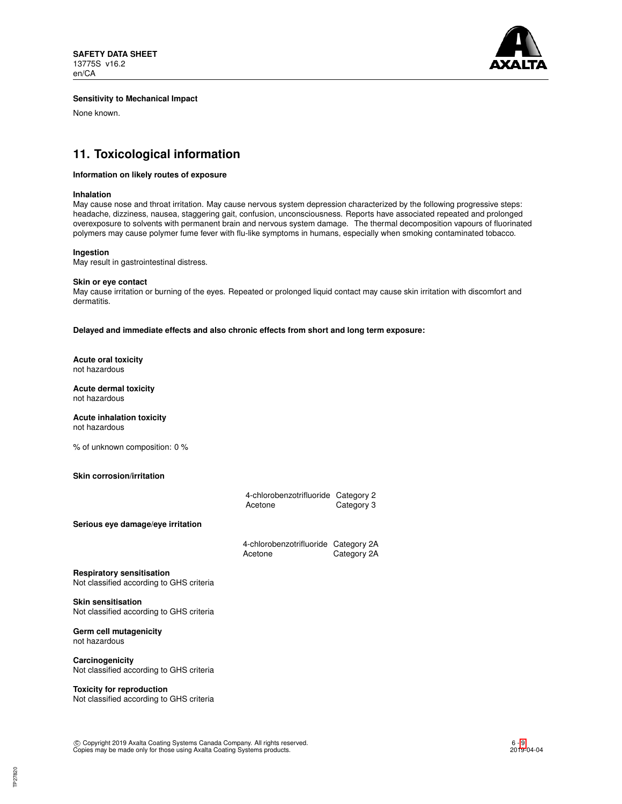

### **Sensitivity to Mechanical Impact**

None known.

## **11. Toxicological information**

## **Information on likely routes of exposure**

#### **Inhalation**

May cause nose and throat irritation. May cause nervous system depression characterized by the following progressive steps: headache, dizziness, nausea, staggering gait, confusion, unconsciousness. Reports have associated repeated and prolonged overexposure to solvents with permanent brain and nervous system damage. The thermal decomposition vapours of fluorinated polymers may cause polymer fume fever with flu-like symptoms in humans, especially when smoking contaminated tobacco.

#### **Ingestion**

May result in gastrointestinal distress.

#### **Skin or eye contact**

May cause irritation or burning of the eyes. Repeated or prolonged liquid contact may cause skin irritation with discomfort and dermatitis.

**Delayed and immediate effects and also chronic effects from short and long term exposure:**

**Acute oral toxicity** not hazardous

**Acute dermal toxicity** not hazardous

**Acute inhalation toxicity** not hazardous

% of unknown composition: 0 %

## **Skin corrosion/irritation**

|                                                                              | 4-chlorobenzotrifluoride Category 2<br>Acetone  | Category 3  |
|------------------------------------------------------------------------------|-------------------------------------------------|-------------|
| Serious eye damage/eye irritation                                            |                                                 |             |
|                                                                              | 4-chlorobenzotrifluoride Category 2A<br>Acetone | Category 2A |
| <b>Respiratory sensitisation</b><br>Not classified according to GHS criteria |                                                 |             |
| <b>Skin sensitisation</b><br>Not classified according to GHS criteria        |                                                 |             |

**Germ cell mutagenicity** not hazardous

**Carcinogenicity** Not classified according to GHS criteria

### **Toxicity for reproduction**

Not classified according to GHS criteria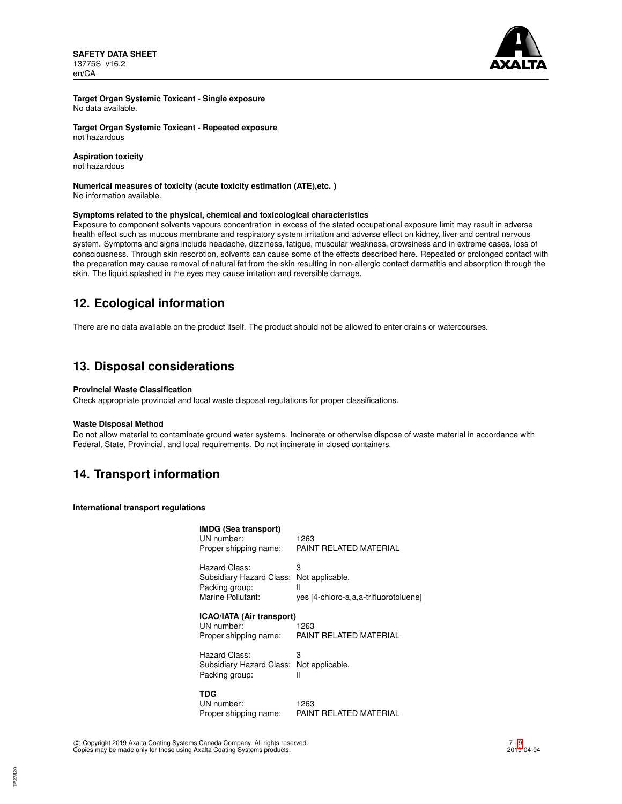**SAFETY DATA SHEET** 13775S v16.2 en/CA



**Target Organ Systemic Toxicant - Single exposure** No data available.

**Target Organ Systemic Toxicant - Repeated exposure** not hazardous

### **Aspiration toxicity**

not hazardous

#### **Numerical measures of toxicity (acute toxicity estimation (ATE),etc. )** No information available.

## **Symptoms related to the physical, chemical and toxicological characteristics**

Exposure to component solvents vapours concentration in excess of the stated occupational exposure limit may result in adverse health effect such as mucous membrane and respiratory system irritation and adverse effect on kidney, liver and central nervous system. Symptoms and signs include headache, dizziness, fatigue, muscular weakness, drowsiness and in extreme cases, loss of consciousness. Through skin resorbtion, solvents can cause some of the effects described here. Repeated or prolonged contact with the preparation may cause removal of natural fat from the skin resulting in non-allergic contact dermatitis and absorption through the skin. The liquid splashed in the eyes may cause irritation and reversible damage.

## **12. Ecological information**

There are no data available on the product itself. The product should not be allowed to enter drains or watercourses.

## **13. Disposal considerations**

## **Provincial Waste Classification**

Check appropriate provincial and local waste disposal regulations for proper classifications.

#### **Waste Disposal Method**

Do not allow material to contaminate ground water systems. Incinerate or otherwise dispose of waste material in accordance with Federal, State, Provincial, and local requirements. Do not incinerate in closed containers.

## **14. Transport information**

**International transport regulations**

| <b>IMDG (Sea transport)</b><br>UN number:<br>Proper shipping name:               | 1263<br>PAINT RELATED MATERIAL                                     |
|----------------------------------------------------------------------------------|--------------------------------------------------------------------|
| Hazard Class:<br>Subsidiary Hazard Class:<br>Packing group:<br>Marine Pollutant: | 3<br>Not applicable.<br>н<br>yes [4-chloro-a,a,a-trifluorotoluene] |
| ICAO/IATA (Air transport)<br>UN number:<br>Proper shipping name:                 | 1263<br>PAINT RELATED MATERIAL                                     |
| Hazard Class:<br>Subsidiary Hazard Class:<br>Packing group:                      | 3<br>Not applicable.<br>н                                          |
| TDG<br>UN number:<br>Proper shipping name:                                       | 1263<br>PAINT RELATED MATERIAL                                     |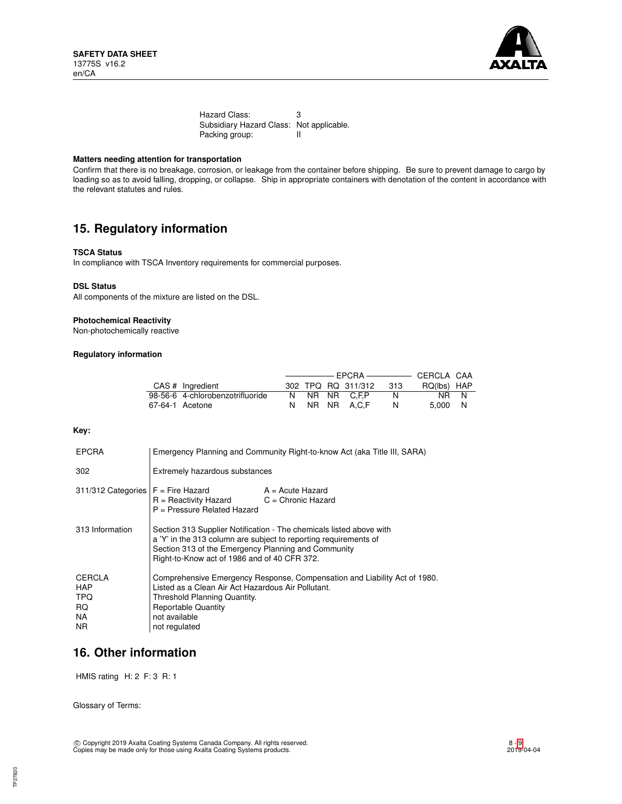

Hazard Class: 3 Subsidiary Hazard Class: Not applicable.<br>Packing group: II Packing group:

## **Matters needing attention for transportation**

Confirm that there is no breakage, corrosion, or leakage from the container before shipping. Be sure to prevent damage to cargo by loading so as to avoid falling, dropping, or collapse. Ship in appropriate containers with denotation of the content in accordance with the relevant statutes and rules.

## **15. Regulatory information**

### **TSCA Status**

In compliance with TSCA Inventory requirements for commercial purposes.

#### **DSL Status**

All components of the mixture are listed on the DSL.

### **Photochemical Reactivity**

Non-photochemically reactive

## **Regulatory information**

| CAS # Ingredient                 |  | 302 TPQ RQ 311/312 | 313 | RQ(lbs) HAP |  |
|----------------------------------|--|--------------------|-----|-------------|--|
| 98-56-6 4-chlorobenzotrifluoride |  | N NR NR C.F.P      | N.  | NR N        |  |
| 67-64-1 Acetone                  |  | N NR NR A.C.F      |     | 5.000 N     |  |

### **Key:**

| <b>EPCRA</b>                                     | Emergency Planning and Community Right-to-know Act (aka Title III, SARA)                                                                                                                                                                       |                    |  |
|--------------------------------------------------|------------------------------------------------------------------------------------------------------------------------------------------------------------------------------------------------------------------------------------------------|--------------------|--|
| 302                                              | Extremely hazardous substances                                                                                                                                                                                                                 |                    |  |
|                                                  | $311/312$ Categories $F =$ Fire Hazard<br>$R =$ Reactivity Hazard $C =$ Chronic Hazard<br>$P =$ Pressure Related Hazard                                                                                                                        | $A = Acute$ Hazard |  |
| 313 Information                                  | Section 313 Supplier Notification - The chemicals listed above with<br>a 'Y' in the 313 column are subject to reporting requirements of<br>Section 313 of the Emergency Planning and Community<br>Right-to-Know act of 1986 and of 40 CFR 372. |                    |  |
| <b>CERCLA</b><br>HAP<br>TPQ<br>RQ.<br>NA.<br>NR. | Comprehensive Emergency Response, Compensation and Liability Act of 1980.<br>Listed as a Clean Air Act Hazardous Air Pollutant.<br>Threshold Planning Quantity.<br><b>Reportable Quantity</b><br>not available<br>not regulated                |                    |  |

## **16. Other information**

HMIS rating H: 2 F: 3 R: 1

Glossary of Terms: